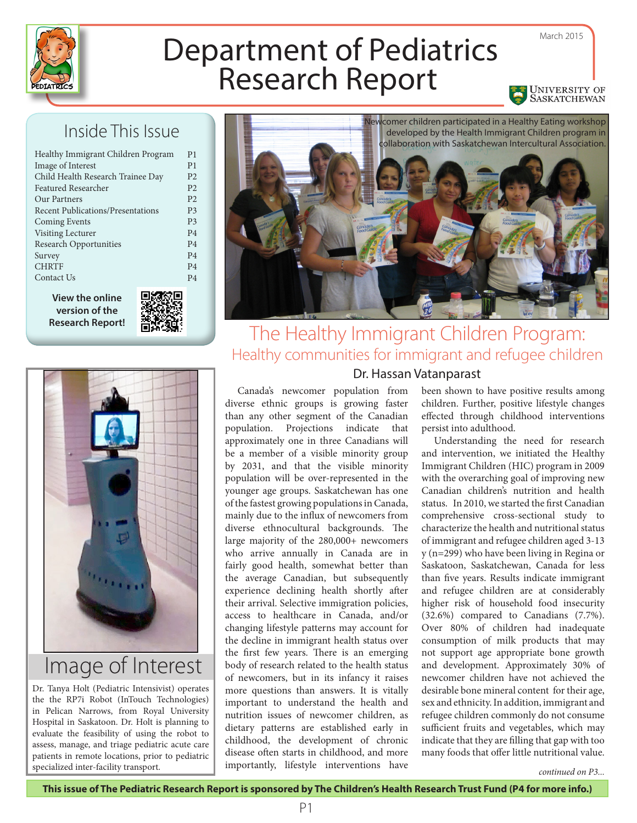

# Department of Pediatrics

# Inside This Issue

| P <sub>4</sub><br>P <sub>4</sub> |
|----------------------------------|
|                                  |
|                                  |
| P <sub>4</sub>                   |
| P <sub>4</sub>                   |
| P <sub>4</sub>                   |
| P <sub>3</sub>                   |
| P <sub>3</sub>                   |
| P <sub>2</sub>                   |
| P <sub>2</sub>                   |
| P <sub>2</sub>                   |
| P <sub>1</sub>                   |
| P <sub>1</sub>                   |
|                                  |

**version of the Research Report!**





# Image of Interest

Dr. Tanya Holt (Pediatric Intensivist) operates the the RP7i Robot (InTouch Technologies) in Pelican Narrows, from Royal University Hospital in Saskatoon. Dr. Holt is planning to evaluate the feasibility of using the robot to assess, manage, and triage pediatric acute care patients in remote locations, prior to pediatric specialized inter-facility transport.



# The Healthy Immigrant Children Program: Healthy communities for immigrant and refugee children Dr. Hassan Vatanparast

Canada's newcomer population from diverse ethnic groups is growing faster than any other segment of the Canadian population. Projections indicate that approximately one in three Canadians will be a member of a visible minority group by 2031, and that the visible minority population will be over-represented in the younger age groups. Saskatchewan has one of the fastest growing populations in Canada, mainly due to the influx of newcomers from diverse ethnocultural backgrounds. The large majority of the 280,000+ newcomers who arrive annually in Canada are in fairly good health, somewhat better than the average Canadian, but subsequently experience declining health shortly after their arrival. Selective immigration policies, access to healthcare in Canada, and/or changing lifestyle patterns may account for the decline in immigrant health status over the first few years. There is an emerging body of research related to the health status of newcomers, but in its infancy it raises more questions than answers. It is vitally important to understand the health and nutrition issues of newcomer children, as dietary patterns are established early in childhood, the development of chronic disease often starts in childhood, and more importantly, lifestyle interventions have

been shown to have positive results among children. Further, positive lifestyle changes effected through childhood interventions persist into adulthood.

Understanding the need for research and intervention, we initiated the Healthy Immigrant Children (HIC) program in 2009 with the overarching goal of improving new Canadian children's nutrition and health status. In 2010, we started the first Canadian comprehensive cross-sectional study to characterize the health and nutritional status of immigrant and refugee children aged 3-13 y (n=299) who have been living in Regina or Saskatoon, Saskatchewan, Canada for less than five years. Results indicate immigrant and refugee children are at considerably higher risk of household food insecurity (32.6%) compared to Canadians (7.7%). Over 80% of children had inadequate consumption of milk products that may not support age appropriate bone growth and development. Approximately 30% of newcomer children have not achieved the desirable bone mineral content for their age, sex and ethnicity. In addition, immigrant and refugee children commonly do not consume sufficient fruits and vegetables, which may indicate that they are filling that gap with too many foods that offer little nutritional value.

*continued on P3...*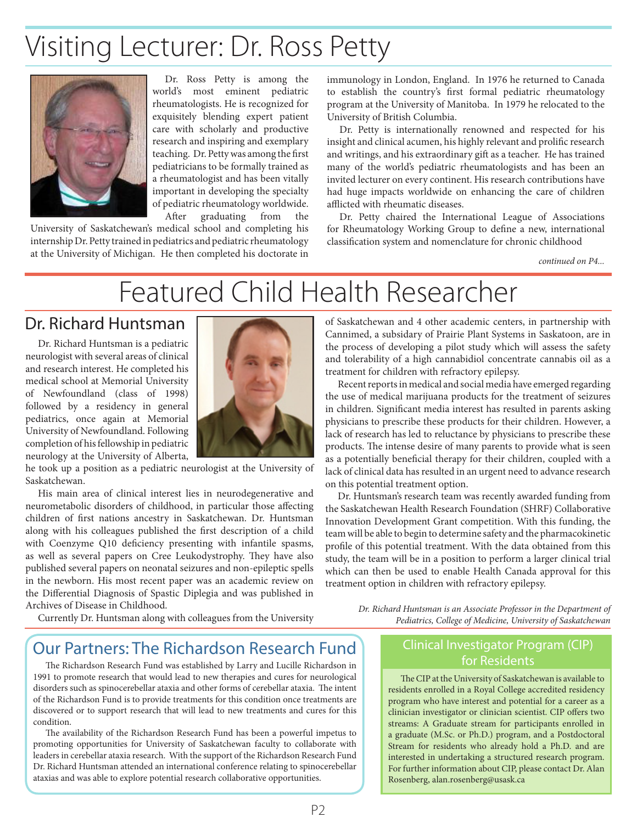# Visiting Lecturer: Dr. Ross Petty



Dr. Ross Petty is among the world's most eminent pediatric rheumatologists. He is recognized for exquisitely blending expert patient care with scholarly and productive research and inspiring and exemplary teaching. Dr. Petty was among the first pediatricians to be formally trained as a rheumatologist and has been vitally important in developing the specialty of pediatric rheumatology worldwide. After graduating from the

University of Saskatchewan's medical school and completing his internship Dr. Petty trained in pediatrics and pediatric rheumatology at the University of Michigan. He then completed his doctorate in

immunology in London, England. In 1976 he returned to Canada to establish the country's first formal pediatric rheumatology program at the University of Manitoba. In 1979 he relocated to the University of British Columbia.

Dr. Petty is internationally renowned and respected for his insight and clinical acumen, his highly relevant and prolific research and writings, and his extraordinary gift as a teacher. He has trained many of the world's pediatric rheumatologists and has been an invited lecturer on every continent. His research contributions have had huge impacts worldwide on enhancing the care of children afflicted with rheumatic diseases.

Dr. Petty chaired the International League of Associations for Rheumatology Working Group to define a new, international classification system and nomenclature for chronic childhood

*continued on P4...*

# Featured Child Health Researcher

# Dr. Richard Huntsman

Dr. Richard Huntsman is a pediatric neurologist with several areas of clinical and research interest. He completed his medical school at Memorial University of Newfoundland (class of 1998) followed by a residency in general pediatrics, once again at Memorial University of Newfoundland. Following completion of his fellowship in pediatric neurology at the University of Alberta,



he took up a position as a pediatric neurologist at the University of Saskatchewan.

His main area of clinical interest lies in neurodegenerative and neurometabolic disorders of childhood, in particular those affecting children of first nations ancestry in Saskatchewan. Dr. Huntsman along with his colleagues published the first description of a child with Coenzyme Q10 deficiency presenting with infantile spasms, as well as several papers on Cree Leukodystrophy. They have also published several papers on neonatal seizures and non-epileptic spells in the newborn. His most recent paper was an academic review on the Differential Diagnosis of Spastic Diplegia and was published in Archives of Disease in Childhood.

of Saskatchewan and 4 other academic centers, in partnership with Cannimed, a subsidary of Prairie Plant Systems in Saskatoon, are in the process of developing a pilot study which will assess the safety and tolerability of a high cannabidiol concentrate cannabis oil as a treatment for children with refractory epilepsy.

Recent reports in medical and social media have emerged regarding the use of medical marijuana products for the treatment of seizures in children. Significant media interest has resulted in parents asking physicians to prescribe these products for their children. However, a lack of research has led to reluctance by physicians to prescribe these products. The intense desire of many parents to provide what is seen as a potentially beneficial therapy for their children, coupled with a lack of clinical data has resulted in an urgent need to advance research on this potential treatment option.

Dr. Huntsman's research team was recently awarded funding from the Saskatchewan Health Research Foundation (SHRF) Collaborative Innovation Development Grant competition. With this funding, the team will be able to begin to determine safety and the pharmacokinetic profile of this potential treatment. With the data obtained from this study, the team will be in a position to perform a larger clinical trial which can then be used to enable Health Canada approval for this treatment option in children with refractory epilepsy.

Currently Dr. Huntsman along with colleagues from the University

*Dr. Richard Huntsman is an Associate Professor in the Department of Pediatrics, College of Medicine, University of Saskatchewan*

# Our Partners: The Richardson Research Fund

The Richardson Research Fund was established by Larry and Lucille Richardson in 1991 to promote research that would lead to new therapies and cures for neurological disorders such as spinocerebellar ataxia and other forms of cerebellar ataxia. The intent of the Richardson Fund is to provide treatments for this condition once treatments are discovered or to support research that will lead to new treatments and cures for this condition.

The availability of the Richardson Research Fund has been a powerful impetus to promoting opportunities for University of Saskatchewan faculty to collaborate with leaders in cerebellar ataxia research. With the support of the Richardson Research Fund Dr. Richard Huntsman attended an international conference relating to spinocerebellar ataxias and was able to explore potential research collaborative opportunities.

#### Clinical Investigator Program (CIP) for Residents

The CIP at the University of Saskatchewan is available to residents enrolled in a Royal College accredited residency program who have interest and potential for a career as a clinician investigator or clinician scientist. CIP offers two streams: A Graduate stream for participants enrolled in a graduate (M.Sc. or Ph.D.) program, and a Postdoctoral Stream for residents who already hold a Ph.D. and are interested in undertaking a structured research program. For further information about CIP, please contact Dr. Alan Rosenberg, alan.rosenberg@usask.ca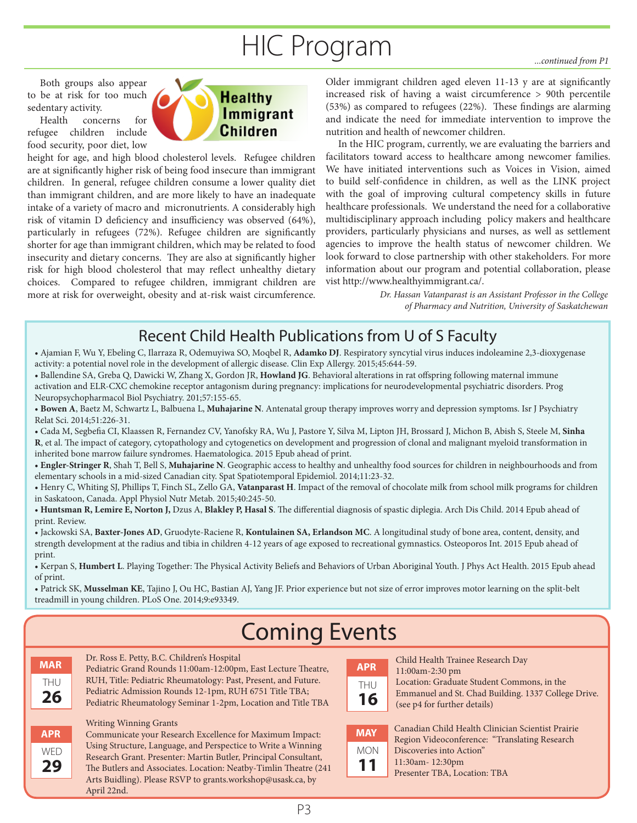# HIC Program *...continued from P1*

Both groups also appear to be at risk for too much sedentary activity.

Health concerns for refugee children include food security, poor diet, low



height for age, and high blood cholesterol levels. Refugee children are at significantly higher risk of being food insecure than immigrant children. In general, refugee children consume a lower quality diet than immigrant children, and are more likely to have an inadequate intake of a variety of macro and micronutrients. A considerably high risk of vitamin D deficiency and insufficiency was observed (64%), particularly in refugees (72%). Refugee children are significantly shorter for age than immigrant children, which may be related to food insecurity and dietary concerns. They are also at significantly higher risk for high blood cholesterol that may reflect unhealthy dietary choices. Compared to refugee children, immigrant children are more at risk for overweight, obesity and at-risk waist circumference.

Older immigrant children aged eleven 11-13 y are at significantly increased risk of having a waist circumference > 90th percentile (53%) as compared to refugees (22%). These findings are alarming and indicate the need for immediate intervention to improve the nutrition and health of newcomer children.

In the HIC program, currently, we are evaluating the barriers and facilitators toward access to healthcare among newcomer families. We have initiated interventions such as Voices in Vision, aimed to build self-confidence in children, as well as the LINK project with the goal of improving cultural competency skills in future healthcare professionals. We understand the need for a collaborative multidisciplinary approach including policy makers and healthcare providers, particularly physicians and nurses, as well as settlement agencies to improve the health status of newcomer children. We look forward to close partnership with other stakeholders. For more information about our program and potential collaboration, please vist http://www.healthyimmigrant.ca/.

> *Dr. Hassan Vatanparast is an Assistant Professor in the College of Pharmacy and Nutrition, University of Saskatchewan*

# Recent Child Health Publications from U of S Faculty

- Ajamian F, Wu Y, Ebeling C, Ilarraza R, Odemuyiwa SO, Moqbel R, **Adamko DJ**. Respiratory syncytial virus induces indoleamine 2,3-dioxygenase activity: a potential novel role in the development of allergic disease. Clin Exp Allergy. 2015;45:644-59.
- Ballendine SA, Greba Q, Dawicki W, Zhang X, Gordon JR, **Howland JG**. Behavioral alterations in rat offspring following maternal immune activation and ELR-CXC chemokine receptor antagonism during pregnancy: implications for neurodevelopmental psychiatric disorders. Prog Neuropsychopharmacol Biol Psychiatry. 201;57:155-65.
- **Bowen A**, Baetz M, Schwartz L, Balbuena L, **Muhajarine N**. Antenatal group therapy improves worry and depression symptoms. Isr J Psychiatry Relat Sci. 2014;51:226-31.
- Cada M, Segbefia CI, Klaassen R, Fernandez CV, Yanofsky RA, Wu J, Pastore Y, Silva M, Lipton JH, Brossard J, Michon B, Abish S, Steele M, **Sinha R**, et al. The impact of category, cytopathology and cytogenetics on development and progression of clonal and malignant myeloid transformation in inherited bone marrow failure syndromes. Haematologica. 2015 Epub ahead of print.
- **Engler-Stringer R**, Shah T, Bell S, **Muhajarine N**. Geographic access to healthy and unhealthy food sources for children in neighbourhoods and from elementary schools in a mid-sized Canadian city. Spat Spatiotemporal Epidemiol. 2014;11:23-32.
- Henry C, Whiting SJ, Phillips T, Finch SL, Zello GA, **Vatanparast H**. Impact of the removal of chocolate milk from school milk programs for children in Saskatoon, Canada. Appl Physiol Nutr Metab. 2015;40:245-50.
- **Huntsman R, Lemire E, Norton J,** Dzus A, **Blakley P, Hasal S**. The differential diagnosis of spastic diplegia. Arch Dis Child. 2014 Epub ahead of print. Review.
- Jackowski SA, **Baxter-Jones AD**, Gruodyte-Raciene R, **Kontulainen SA, Erlandson MC**. A longitudinal study of bone area, content, density, and strength development at the radius and tibia in children 4-12 years of age exposed to recreational gymnastics. Osteoporos Int. 2015 Epub ahead of print.
- Kerpan S, **Humbert L**. Playing Together: The Physical Activity Beliefs and Behaviors of Urban Aboriginal Youth. J Phys Act Health. 2015 Epub ahead of print.
- Patrick SK, **Musselman KE**, Tajino J, Ou HC, Bastian AJ, Yang JF. Prior experience but not size of error improves motor learning on the split-belt treadmill in young children. PLoS One. 2014;9:e93349.

# Coming Events

| MAR       |  |
|-----------|--|
| THU<br>26 |  |

**APR WED 29**

Dr. Ross E. Petty, B.C. Children's Hospital

Pediatric Grand Rounds 11:00am-12:00pm, East Lecture Theatre, RUH, Title: Pediatric Rheumatology: Past, Present, and Future. Pediatric Admission Rounds 12-1pm, RUH 6751 Title TBA;

Pediatric Rheumatology Seminar 1-2pm, Location and Title TBA

#### Writing Winning Grants

Communicate your Research Excellence for Maximum Impact: Using Structure, Language, and Perspectice to Write a Winning Research Grant. Presenter: Martin Butler, Principal Consultant, The Butlers and Associates. Location: Neatby-Timlin Theatre (241 Arts Buidling). Please RSVP to grants.workshop@usask.ca, by April 22nd.

| APR       |  |
|-----------|--|
| THU<br>16 |  |

Child Health Trainee Research Day 11:00am-2:30 pm Location: Graduate Student Commons, in the Emmanuel and St. Chad Building. 1337 College Drive. (see p4 for further details)

| MAY |
|-----|
| mon |
| 11  |

Canadian Child Health Clinician Scientist Prairie Region Videoconference: "Translating Research Discoveries into Action" 11:30am- 12:30pm

Presenter TBA, Location: TBA